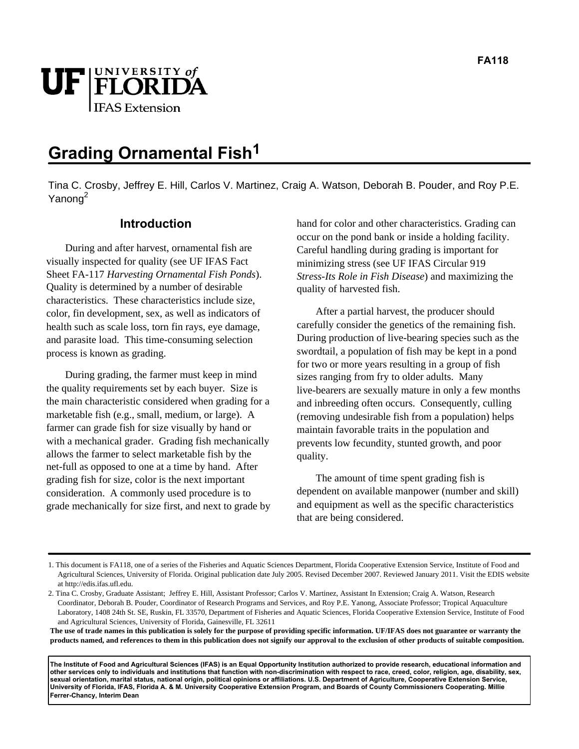

# **Grading Ornamental Fish1**

Tina C. Crosby, Jeffrey E. Hill, Carlos V. Martinez, Craig A. Watson, Deborah B. Pouder, and Roy P.E. Yanong<sup>2</sup>

### **Introduction**

During and after harvest, ornamental fish are visually inspected for quality (see UF IFAS Fact Sheet FA-117 *Harvesting Ornamental Fish Ponds*). Quality is determined by a number of desirable characteristics. These characteristics include size, color, fin development, sex, as well as indicators of health such as scale loss, torn fin rays, eye damage, and parasite load. This time-consuming selection process is known as grading.

During grading, the farmer must keep in mind the quality requirements set by each buyer. Size is the main characteristic considered when grading for a marketable fish (e.g., small, medium, or large). A farmer can grade fish for size visually by hand or with a mechanical grader. Grading fish mechanically allows the farmer to select marketable fish by the net-full as opposed to one at a time by hand. After grading fish for size, color is the next important consideration. A commonly used procedure is to grade mechanically for size first, and next to grade by hand for color and other characteristics. Grading can occur on the pond bank or inside a holding facility. Careful handling during grading is important for minimizing stress (see UF IFAS Circular 919 *Stress-Its Role in Fish Disease*) and maximizing the quality of harvested fish.

After a partial harvest, the producer should carefully consider the genetics of the remaining fish. During production of live-bearing species such as the swordtail, a population of fish may be kept in a pond for two or more years resulting in a group of fish sizes ranging from fry to older adults. Many live-bearers are sexually mature in only a few months and inbreeding often occurs. Consequently, culling (removing undesirable fish from a population) helps maintain favorable traits in the population and prevents low fecundity, stunted growth, and poor quality.

The amount of time spent grading fish is dependent on available manpower (number and skill) and equipment as well as the specific characteristics that are being considered.

**The use of trade names in this publication is solely for the purpose of providing specific information. UF/IFAS does not guarantee or warranty the products named, and references to them in this publication does not signify our approval to the exclusion of other products of suitable composition.** 

**The Institute of Food and Agricultural Sciences (IFAS) is an Equal Opportunity Institution authorized to provide research, educational information and other services only to individuals and institutions that function with non-discrimination with respect to race, creed, color, religion, age, disability, sex, sexual orientation, marital status, national origin, political opinions or affiliations. U.S. Department of Agriculture, Cooperative Extension Service, University of Florida, IFAS, Florida A. & M. University Cooperative Extension Program, and Boards of County Commissioners Cooperating. Millie Ferrer-Chancy, Interim Dean** 

<sup>1.</sup> This document is FA118, one of a series of the Fisheries and Aquatic Sciences Department, Florida Cooperative Extension Service, Institute of Food and Agricultural Sciences, University of Florida. Original publication date July 2005. Revised December 2007. Reviewed January 2011. Visit the EDIS website at http://edis.ifas.ufl.edu.

<sup>2.</sup> Tina C. Crosby, Graduate Assistant; Jeffrey E. Hill, Assistant Professor; Carlos V. Martinez, Assistant In Extension; Craig A. Watson, Research Coordinator, Deborah B. Pouder, Coordinator of Research Programs and Services, and Roy P.E. Yanong, Associate Professor; Tropical Aquaculture Laboratory, 1408 24th St. SE, Ruskin, FL 33570, Department of Fisheries and Aquatic Sciences, Florida Cooperative Extension Service, Institute of Food and Agricultural Sciences, University of Florida, Gainesville, FL 32611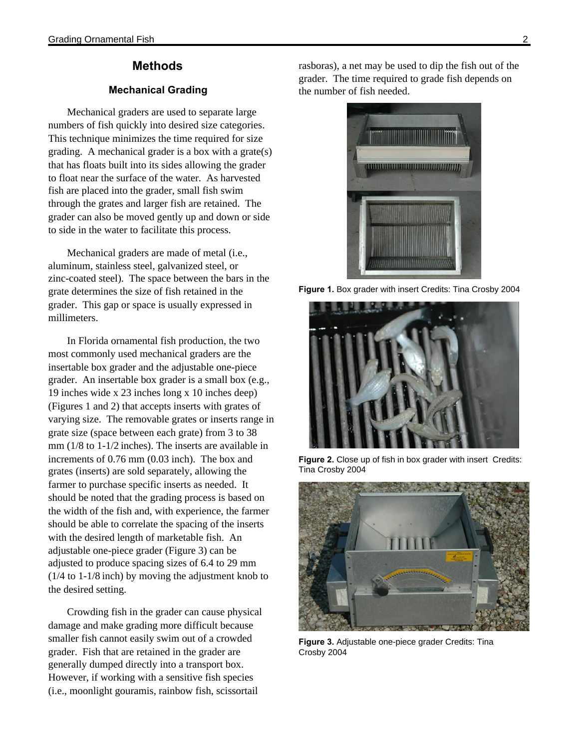# **Methods**

#### **Mechanical Grading**

Mechanical graders are used to separate large numbers of fish quickly into desired size categories. This technique minimizes the time required for size grading. A mechanical grader is a box with a grate(s) that has floats built into its sides allowing the grader to float near the surface of the water. As harvested fish are placed into the grader, small fish swim through the grates and larger fish are retained. The grader can also be moved gently up and down or side to side in the water to facilitate this process.

Mechanical graders are made of metal (i.e., aluminum, stainless steel, galvanized steel, or zinc-coated steel). The space between the bars in the grate determines the size of fish retained in the grader. This gap or space is usually expressed in millimeters.

In Florida ornamental fish production, the two most commonly used mechanical graders are the insertable box grader and the adjustable one-piece grader. An insertable box grader is a small box (e.g., 19 inches wide x 23 inches long x 10 inches deep) (Figures 1 and 2) that accepts inserts with grates of varying size. The removable grates or inserts range in grate size (space between each grate) from 3 to 38 mm (1/8 to 1-1/2 inches). The inserts are available in increments of 0.76 mm (0.03 inch). The box and grates (inserts) are sold separately, allowing the farmer to purchase specific inserts as needed. It should be noted that the grading process is based on the width of the fish and, with experience, the farmer should be able to correlate the spacing of the inserts with the desired length of marketable fish. An adjustable one-piece grader (Figure 3) can be adjusted to produce spacing sizes of 6.4 to 29 mm (1/4 to 1-1/8 inch) by moving the adjustment knob to the desired setting.

Crowding fish in the grader can cause physical damage and make grading more difficult because smaller fish cannot easily swim out of a crowded grader. Fish that are retained in the grader are generally dumped directly into a transport box. However, if working with a sensitive fish species (i.e., moonlight gouramis, rainbow fish, scissortail

rasboras), a net may be used to dip the fish out of the grader. The time required to grade fish depends on the number of fish needed.



**Figure 1.** Box grader with insert Credits: Tina Crosby 2004



**Figure 2.** Close up of fish in box grader with insert Credits: Tina Crosby 2004



**Figure 3.** Adjustable one-piece grader Credits: Tina Crosby 2004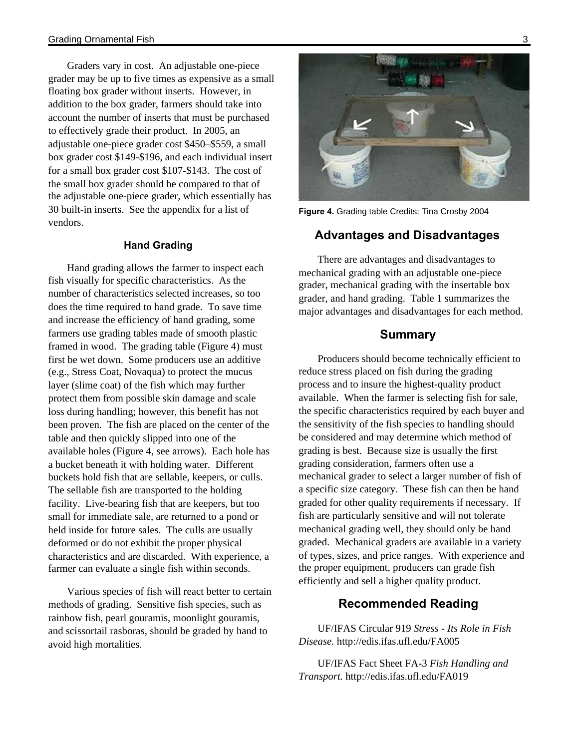Graders vary in cost. An adjustable one-piece grader may be up to five times as expensive as a small floating box grader without inserts. However, in addition to the box grader, farmers should take into account the number of inserts that must be purchased to effectively grade their product. In 2005, an adjustable one-piece grader cost \$450–\$559, a small box grader cost \$149-\$196, and each individual insert for a small box grader cost \$107-\$143. The cost of the small box grader should be compared to that of the adjustable one-piece grader, which essentially has 30 built-in inserts. See the appendix for a list of vendors.

#### **Hand Grading**

Hand grading allows the farmer to inspect each fish visually for specific characteristics. As the number of characteristics selected increases, so too does the time required to hand grade. To save time and increase the efficiency of hand grading, some farmers use grading tables made of smooth plastic framed in wood. The grading table (Figure 4) must first be wet down. Some producers use an additive (e.g., Stress Coat, Novaqua) to protect the mucus layer (slime coat) of the fish which may further protect them from possible skin damage and scale loss during handling; however, this benefit has not been proven. The fish are placed on the center of the table and then quickly slipped into one of the available holes (Figure 4, see arrows). Each hole has a bucket beneath it with holding water. Different buckets hold fish that are sellable, keepers, or culls. The sellable fish are transported to the holding facility. Live-bearing fish that are keepers, but too small for immediate sale, are returned to a pond or held inside for future sales. The culls are usually deformed or do not exhibit the proper physical characteristics and are discarded. With experience, a farmer can evaluate a single fish within seconds.

Various species of fish will react better to certain methods of grading. Sensitive fish species, such as rainbow fish, pearl gouramis, moonlight gouramis, and scissortail rasboras, should be graded by hand to avoid high mortalities.



**Figure 4.** Grading table Credits: Tina Crosby 2004

# **Advantages and Disadvantages**

There are advantages and disadvantages to mechanical grading with an adjustable one-piece grader, mechanical grading with the insertable box grader, and hand grading. Table 1 summarizes the major advantages and disadvantages for each method.

## **Summary**

Producers should become technically efficient to reduce stress placed on fish during the grading process and to insure the highest-quality product available. When the farmer is selecting fish for sale, the specific characteristics required by each buyer and the sensitivity of the fish species to handling should be considered and may determine which method of grading is best. Because size is usually the first grading consideration, farmers often use a mechanical grader to select a larger number of fish of a specific size category. These fish can then be hand graded for other quality requirements if necessary. If fish are particularly sensitive and will not tolerate mechanical grading well, they should only be hand graded. Mechanical graders are available in a variety of types, sizes, and price ranges. With experience and the proper equipment, producers can grade fish efficiently and sell a higher quality product.

# **Recommended Reading**

UF/IFAS Circular 919 *Stress - Its Role in Fish Disease.* http://edis.ifas.ufl.edu/FA005

UF/IFAS Fact Sheet FA-3 *Fish Handling and Transport.* http://edis.ifas.ufl.edu/FA019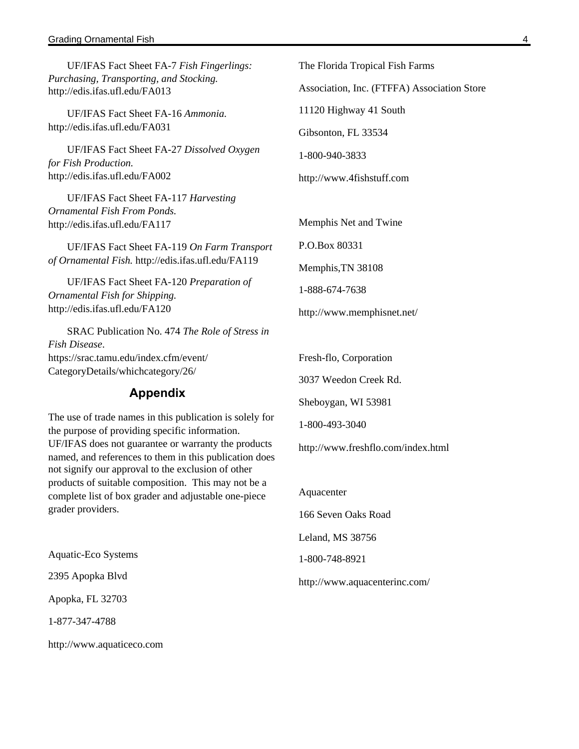#### Grading Ornamental Fish 4

UF/IFAS Fact Sheet FA-7 *Fish Fingerlings: Purchasing, Transporting, and Stocking.* http://edis.ifas.ufl.edu/FA013

UF/IFAS Fact Sheet FA-16 *Ammonia.* http://edis.ifas.ufl.edu/FA031

UF/IFAS Fact Sheet FA-27 *Dissolved Oxygen for Fish Production.* http://edis.ifas.ufl.edu/FA002

UF/IFAS Fact Sheet FA-117 *Harvesting Ornamental Fish From Ponds.*  http://edis.ifas.ufl.edu/FA117

UF/IFAS Fact Sheet FA-119 *On Farm Transport of Ornamental Fish.* http://edis.ifas.ufl.edu/FA119

UF/IFAS Fact Sheet FA-120 *Preparation of Ornamental Fish for Shipping.*  http://edis.ifas.ufl.edu/FA120

SRAC Publication No. 474 *The Role of Stress in Fish Disease*. https://srac.tamu.edu/index.cfm/event/ CategoryDetails/whichcategory/26/

#### **Appendix**

The use of trade names in this publication is solely for the purpose of providing specific information. UF/IFAS does not guarantee or warranty the products named, and references to them in this publication does not signify our approval to the exclusion of other products of suitable composition. This may not be a complete list of box grader and adjustable one-piece grader providers.

Aquatic-Eco Systems

2395 Apopka Blvd

Apopka, FL 32703

1-877-347-4788

http://www.aquaticeco.com

The Florida Tropical Fish Farms Association, Inc. (FTFFA) Association Store 11120 Highway 41 South

Gibsonton, FL 33534

1-800-940-3833

http://www.4fishstuff.com

Memphis Net and Twine

P.O.Box 80331

Memphis,TN 38108

1-888-674-7638

http://www.memphisnet.net/

Fresh-flo, Corporation

3037 Weedon Creek Rd.

Sheboygan, WI 53981

1-800-493-3040

http://www.freshflo.com/index.html

Aquacenter

166 Seven Oaks Road

Leland, MS 38756

1-800-748-8921

http://www.aquacenterinc.com/